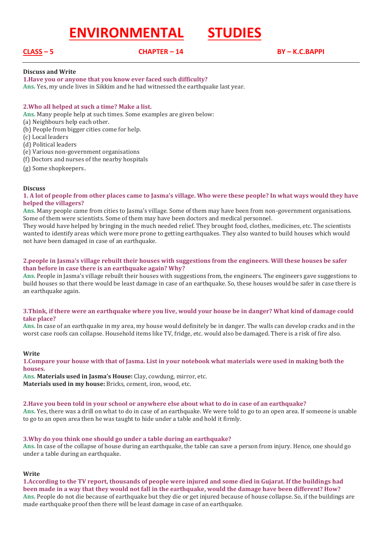# **ENVIRONMENTAL STUDIES**

**CLASS – 5 CHAPTER – 14 BY – K.C.BAPPI**

# **Discuss and Write**

**1.Have you or anyone that you know ever faced such difficulty?**

**Ans.** Yes, my uncle lives in Sikkim and he had witnessed the earthquake last year.

# **2.Who all helped at such a time? Make a list.**

**Ans.** Many people help at such times. Some examples are given below:

- (a) Neighbours help each other.
- (b) People from bigger cities come for help.
- (c) Local leaders
- (d) Political leaders
- (e) Various non-government organisations
- (f) Doctors and nurses of the nearby hospitals
- (g) Some shopkeepers.

### **Discuss**

**1. A lot of people from other places came to Jasma's village. Who were these people? In what ways would they have helped the villagers?**

**Ans.** Many people came from cities to Jasma's village. Some of them may have been from non-government organisations. Some of them were scientists. Some of them may have been doctors and medical personnel.

They would have helped by bringing in the much needed relief. They brought food, clothes, medicines, etc. The scientists wanted to identify areas which were more prone to getting earthquakes. They also wanted to build houses which would not have been damaged in case of an earthquake.

# **2.people in Jasma's village rebuilt their houses with suggestions from the engineers. Will these houses be safer than before in case there is an earthquake again? Why?**

**Ans.** People in Jasma's village rebuilt their houses with suggestions from, the engineers. The engineers gave suggestions to build houses so that there would be least damage in case of an earthquake. So, these houses would be safer in case there is an earthquake again.

### **3.Think, if there were an earthquake where you live, would your house be in danger? What kind of damage could take place?**

**Ans.** In case of an earthquake in my area, my house would definitely be in danger. The walls can develop cracks and in the worst case roofs can collapse. Household items like TV, fridge, etc. would also be damaged. There is a risk of fire also.

### **Write**

**1.Compare your house with that of Jasma. List in your notebook what materials were used in making both the houses.**

**Ans. Materials used in Jasma's House:** Clay, cowdung, mirror, etc. **Materials used in my house:** Bricks, cement, iron, wood, etc.

### **2.Have you been told in your school or anywhere else about what to do in case of an earthquake?**

**Ans.** Yes, there was a drill on what to do in case of an earthquake. We were told to go to an open area. If someone is unable to go to an open area then he was taught to hide under a table and hold it firmly.

### **3.Why do you think one should go under a table during an earthquake?**

**Ans.** In case of the collapse of house during an earthquake, the table can save a person from injury. Hence, one should go under a table during an earthquake.

### **Write**

**1.According to the TV report, thousands of people were injured and some died in Gujarat. If the buildings had been made in a way that they would not fall in the earthquake, would the damage have been different? How? Ans.** People do not die because of earthquake but they die or get injured because of house collapse. So, if the buildings are made earthquake proof then there will be least damage in case of an earthquake.